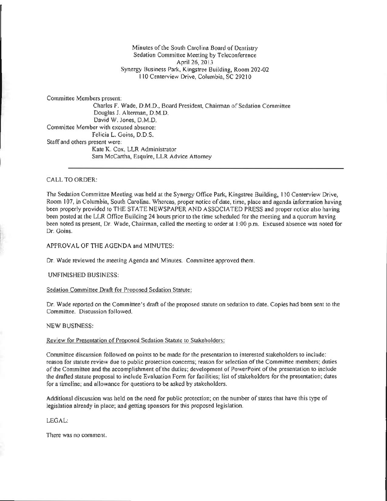# Minutes of the South Carolina Board of Dentistry Sedation Committee Meeting by Teleconference April 26, 2013 Synergy Business Park, Kingstree Building, Room 202·02 110 Centerview Drive, Columbia, SC 292 10

Committee Members present: Charles F. Wade, D.M.D., Board President, Chairman of Sedation Committee Douglas 1. Allerman, D.M.D. David W. Jones, O.M.D. Committee Member with excused absence: Felicia L. Goins, D.D.S. Staff and others present were: Kate K. Cox, LLR Administrator Sara McCartha, Esquire, LLR Advice Attorney

## CA LL TO ORDER:

The Sedation Committee Meeting was held at the Synergy Office Park, Kingstree Building, 110 Centerview Drive, Room 107, in Columbia, South Carolina. Whereas, proper notice of date, time, place and agenda information having been properly provided to THE STATE NEWSPAPER AND ASSOCIATED PRESS and proper notice also having been posted at the LLR Office Building 24 hours prior to the time scheduled for the meeting and a quorum having been noted as present., Dr. Wade, Chairman, called the meeting to order at I *:00* p.m. Excused absence was noted for Dr. Goins.

APPROVAL OF THE AGENDA and MINUTES:

Dr. Wade reviewed the meeting Agenda and Minutes. Committee approved them.

### UNFINISHED BUSINESS:

### Sedation Committee Draft for Proposed Sedation Statute:

Dr. Wade reported on the Committee's draft of the proposed statute on sedation to date. Copies had been sent to the Committee. Discussion followed.

### NEW BUSINESS,

### Review for Presentation of Proposed Sedation Statute to Stakeholders:

Committee discussion followed on points to be made for the presentation to interested stakeholders to include: reason for statute review due to public protection concerns; reason for selection of the Committee members; duties of the Committee and the accomplishment of the duties; development of PowerPoint of the presentation to include the drafted statute proposal to include Evaluation Form for facilities; list of stakeholders for the presentation; dates for a timeline; and allowance for questions to be asked by stakeholders.

Additional discussion was held on the need for public protection; on the number of states that have this type of legislation already in place; and getting sponsors for this proposed legislation.

# LEGAL:

There was no comment.